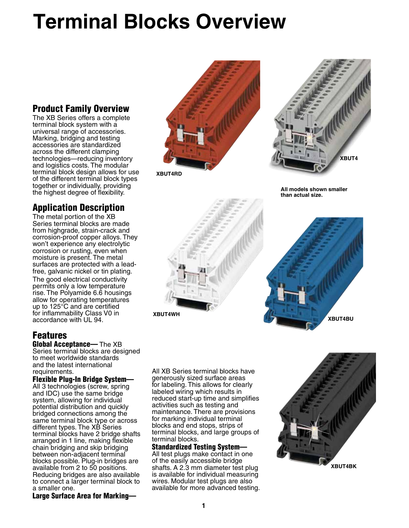# **Terminal Blocks Overview**

## Product Family Overview

The XB Series offers a complete terminal block system with a universal range of accessories. Marking, bridging and testing accessories are standardized across the different clamping technologies—reducing inventory and logistics costs. The modular terminal block design allows for use of the different terminal block types together or individually, providing the highest degree of flexibility.

# Application Description

The metal portion of the XB Series terminal blocks are made from highgrade, strain-crack and corrosion-proof copper alloys. They won't experience any electrolytic corrosion or rusting, even when moisture is present. The metal surfaces are protected with a leadfree, galvanic nickel or tin plating. The good electrical conductivity permits only a low temperature rise. The Polyamide 6.6 housings allow for operating temperatures up to 125°C and are certified for inflammability Class V0 in accordance with UL 94.

# Features

Global Acceptance— The XB Series terminal blocks are designed to meet worldwide standards and the latest international requirements.

#### Flexible Plug-In Bridge System—

All 3 technologies (screw, spring and IDC) use the same bridge system, allowing for individual potential distribution and quickly bridged connections among the same terminal block type or across different types. The XB Series terminal blocks have 2 bridge shafts arranged in 1 line, making flexible chain bridging and skip bridging between non-adjacent terminal blocks possible. Plug-in bridges are available from 2 to 50 positions. Reducing bridges are also available to connect a larger terminal block to a smaller one.

Large Surface Area for Marking—



**XBUT4RD**

**XBUT4WH**



**All models shown smaller than actual size.**



All XB Series terminal blocks have generously sized surface areas for labeling. This allows for clearly labeled wiring which results in reduced start-up time and simplifies activities such as testing and maintenance. There are provisions for marking individual terminal blocks and end stops, strips of terminal blocks, and large groups of terminal blocks.

Standardized Testing System— All test plugs make contact in one of the easily accessible bridge shafts. A 2.3 mm diameter test plug is available for individual measuring wires. Modular test plugs are also available for more advanced testing.

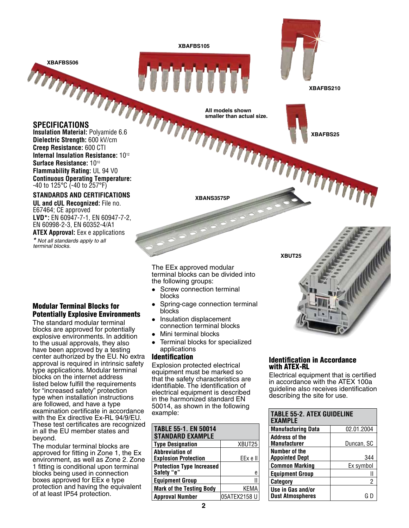**XBAFBS105**

**XBAFBS506**

**XBAFBS210**

**XBAFBS25**

### **Specifications**

**Insulation Material:** Polyamide 6.6 **Dielectric Strength:** 600 kV/cm **Creep Resistance:** 600 CTI **Internal Insulation Resistance:** 1012 **Surface Resistance:** 1010 **Flammability Rating:** UL 94 V0 **Continuous Operating Temperature:** -40 to 125°C (-40 to 257°F)

#### **Standards and Certifications**

**UL and cUL Recognized:** File no. E67464; CE approved **LVD\*:** EN 60947-7-1, EN 60947-7-2, EN 60998-2-3, EN 60352-4/A1

**ATEX Approval:** Eex e applications *\* Not all standards apply to all terminal blocks.*

#### Modular Terminal Blocks for Potentially Explosive Environments

The standard modular terminal blocks are approved for potentially explosive environments. In addition to the usual approvals, they also have been approved by a testing center authorized by the EU. No extra approval is required in intrinsic safety type applications. Modular terminal blocks on the internet address listed below fulfill the requirements for "increased safety" protection type when installation instructions are followed, and have a type examination certificate in accordance with the Ex directive Ex-RL 94/9/EU. These test certificates are recognized in all the EU member states and beyond.

The modular terminal blocks are approved for fitting in Zone 1, the Ex environment, as well as Zone 2. Zone 1 fitting is conditional upon terminal blocks being used in connection boxes approved for EEx e type protection and having the equivalent of at least IP54 protection.

**XBANS3575P**

**All models shown smaller than actual size.**

The EEx approved modular terminal blocks can be divided into the following groups:

- Screw connection terminal blocks
- Spring-cage connection terminal blocks
- Insulation displacement connection terminal blocks
- Mini terminal blocks
- Terminal blocks for specialized applications

#### Identification

Explosion protected electrical equipment must be marked so that the safety characteristics are identifiable. The identification of electrical equipment is described in the harmonized standard EN 50014, as shown in the following example:

| <b>TABLE 55-1. EN 50014</b><br><b>STANDARD EXAMPLE</b> |              |
|--------------------------------------------------------|--------------|
| <b>Type Designation</b>                                | XBUT25       |
| <b>Abbreviation of</b><br><b>Explosion Protection</b>  | EEx e II     |
| <b>Protection Type Increased</b><br>Safety "e"         | е            |
| <b>Equipment Group</b>                                 |              |
| <b>Mark of the Testing Body</b>                        | KEMA         |
| <b>Approval Number</b>                                 | 05ATEX2158 U |

#### Identification in Accordance with ATEX-RL

**XBUT25**

Electrical equipment that is certified in accordance with the ATEX 100a guideline also receives identification describing the site for use.

| <b>TABLE 55-2. ATEX GUIDELINE</b><br><b>EXAMPLE</b> |            |
|-----------------------------------------------------|------------|
| <b>Manufacturing Data</b>                           | 02.01.2004 |
| Address of the<br><b>Manufacturer</b>               | Duncan, SC |
| Number of the<br><b>Appointed Dept</b>              | 344        |
| <b>Common Marking</b>                               | Ex symbol  |
| <b>Equipment Group</b>                              |            |
| <b>Category</b>                                     |            |
| Use in Gas and/or<br><b>Dust Atmospheres</b>        |            |